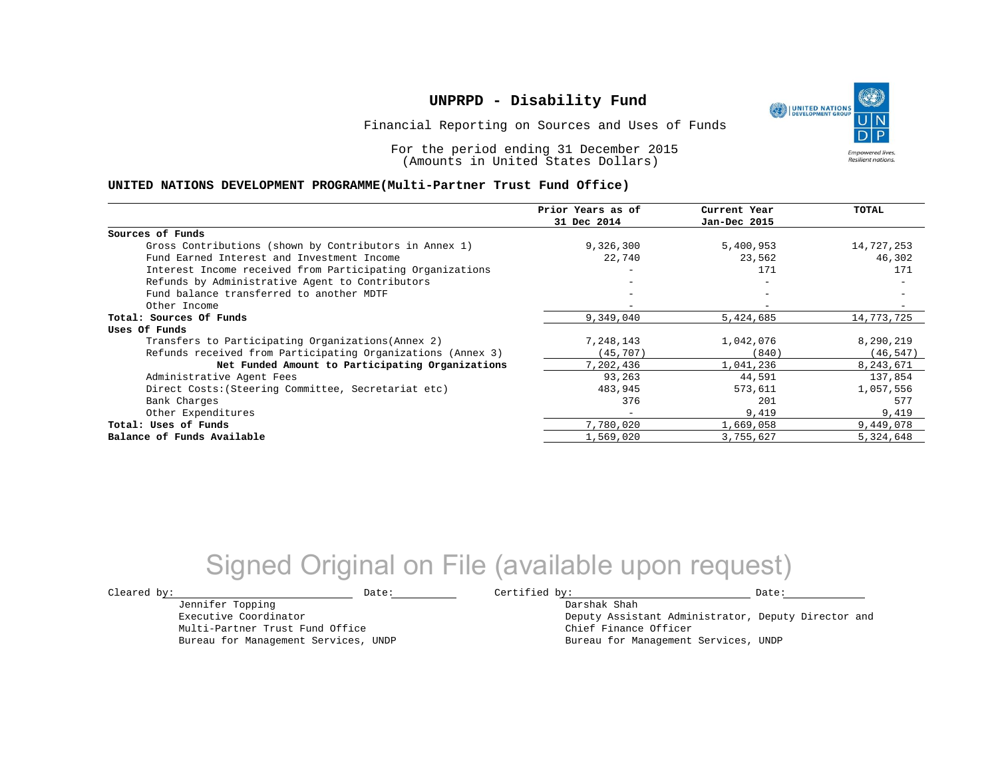UNITED NATIONS **Empowered lives Resilient nations.** 

Financial Reporting on Sources and Uses of Funds

For the period ending 31 December 2015 (Amounts in United States Dollars)

#### **UNITED NATIONS DEVELOPMENT PROGRAMME(Multi-Partner Trust Fund Office)**

|                                                             | Prior Years as of        | Current Year             | TOTAL      |
|-------------------------------------------------------------|--------------------------|--------------------------|------------|
|                                                             | 31 Dec 2014              | Jan-Dec 2015             |            |
| Sources of Funds                                            |                          |                          |            |
| Gross Contributions (shown by Contributors in Annex 1)      | 9,326,300                | 5,400,953                | 14,727,253 |
| Fund Earned Interest and Investment Income                  | 22,740                   | 23,562                   | 46,302     |
| Interest Income received from Participating Organizations   |                          | 171                      | 171        |
| Refunds by Administrative Agent to Contributors             |                          | $\overline{\phantom{m}}$ |            |
| Fund balance transferred to another MDTF                    |                          |                          |            |
| Other Income                                                |                          |                          |            |
| Total: Sources Of Funds                                     | 9,349,040                | 5,424,685                | 14,773,725 |
| Uses Of Funds                                               |                          |                          |            |
| Transfers to Participating Organizations (Annex 2)          | 7,248,143                | 1,042,076                | 8,290,219  |
| Refunds received from Participating Organizations (Annex 3) | (45,707)                 | (840)                    | (46, 547)  |
| Net Funded Amount to Participating Organizations            | 7,202,436                | 1,041,236                | 8,243,671  |
| Administrative Agent Fees                                   | 93,263                   | 44,591                   | 137,854    |
| Direct Costs: (Steering Committee, Secretariat etc)         | 483,945                  | 573,611                  | 1,057,556  |
| Bank Charges                                                | 376                      | 201                      | 577        |
| Other Expenditures                                          | $\overline{\phantom{0}}$ | 9,419                    | 9,419      |
| Total: Uses of Funds                                        | 7,780,020                | 1,669,058                | 9,449,078  |
| Balance of Funds Available                                  | 1,569,020                | 3,755,627                | 5,324,648  |

## Signed Original on File (available upon request)

Jennifer Topping Executive Coordinator Multi-Partner Trust Fund Office Bureau for Management Services, UNDP

 $\texttt{Cleared by:}\footnotesize \begin{minipage}{0.9\linewidth} \texttt{Date:}\footnotesize \begin{minipage}{0.9\linewidth} \texttt{Date:}\footnotesize \begin{minipage}{0.9\linewidth} \end{minipage} \end{minipage}$ 

Darshak Shah Deputy Assistant Administrator, Deputy Director and Chief Finance Officer Bureau for Management Services, UNDP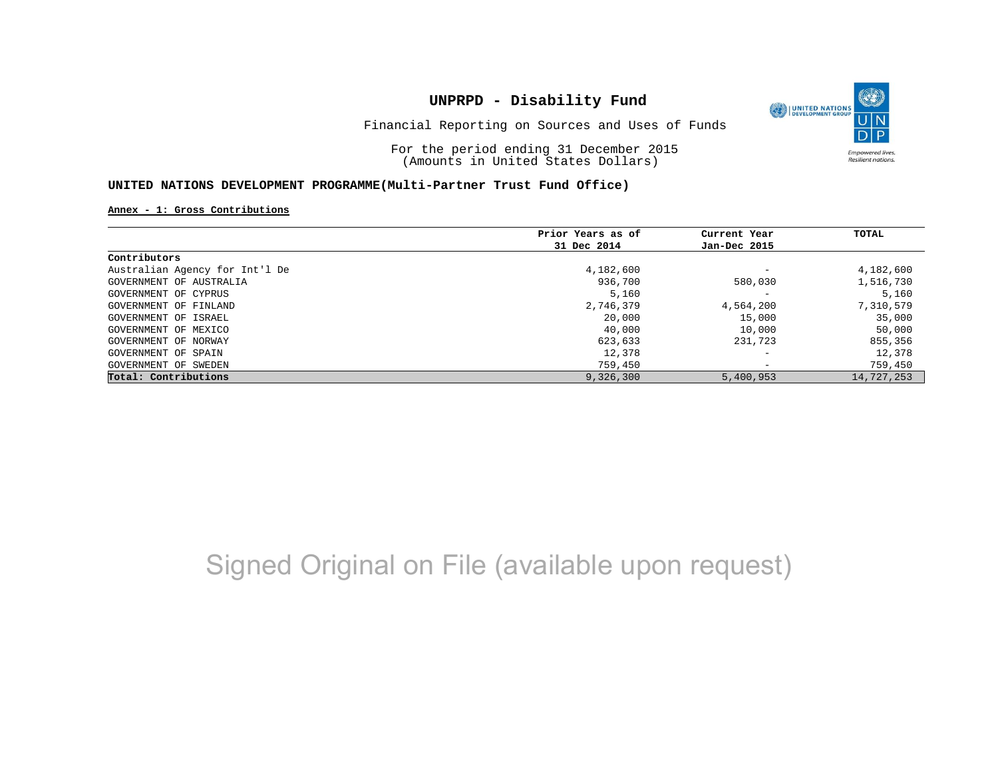

Financial Reporting on Sources and Uses of Funds

For the period ending 31 December 2015 (Amounts in United States Dollars)

### **UNITED NATIONS DEVELOPMENT PROGRAMME(Multi-Partner Trust Fund Office)**

**Annex - 1: Gross Contributions**

|                                | Prior Years as of | Current Year             | TOTAL      |
|--------------------------------|-------------------|--------------------------|------------|
|                                | 31 Dec 2014       | Jan-Dec 2015             |            |
| Contributors                   |                   |                          |            |
| Australian Agency for Int'l De | 4,182,600         | $\overline{\phantom{a}}$ | 4,182,600  |
| GOVERNMENT OF AUSTRALIA        | 936,700           | 580,030                  | 1,516,730  |
| GOVERNMENT OF CYPRUS           | 5,160             | $\overline{\phantom{a}}$ | 5,160      |
| GOVERNMENT OF FINLAND          | 2,746,379         | 4,564,200                | 7,310,579  |
| GOVERNMENT OF ISRAEL           | 20,000            | 15,000                   | 35,000     |
| GOVERNMENT OF MEXICO           | 40,000            | 10,000                   | 50,000     |
| GOVERNMENT OF NORWAY           | 623,633           | 231,723                  | 855,356    |
| GOVERNMENT OF SPAIN            | 12,378            | $\overline{\phantom{a}}$ | 12,378     |
| GOVERNMENT OF SWEDEN           | 759,450           | $\overline{\phantom{0}}$ | 759,450    |
| Total: Contributions           | 9,326,300         | 5,400,953                | 14,727,253 |

# Signed Original on File (available upon request)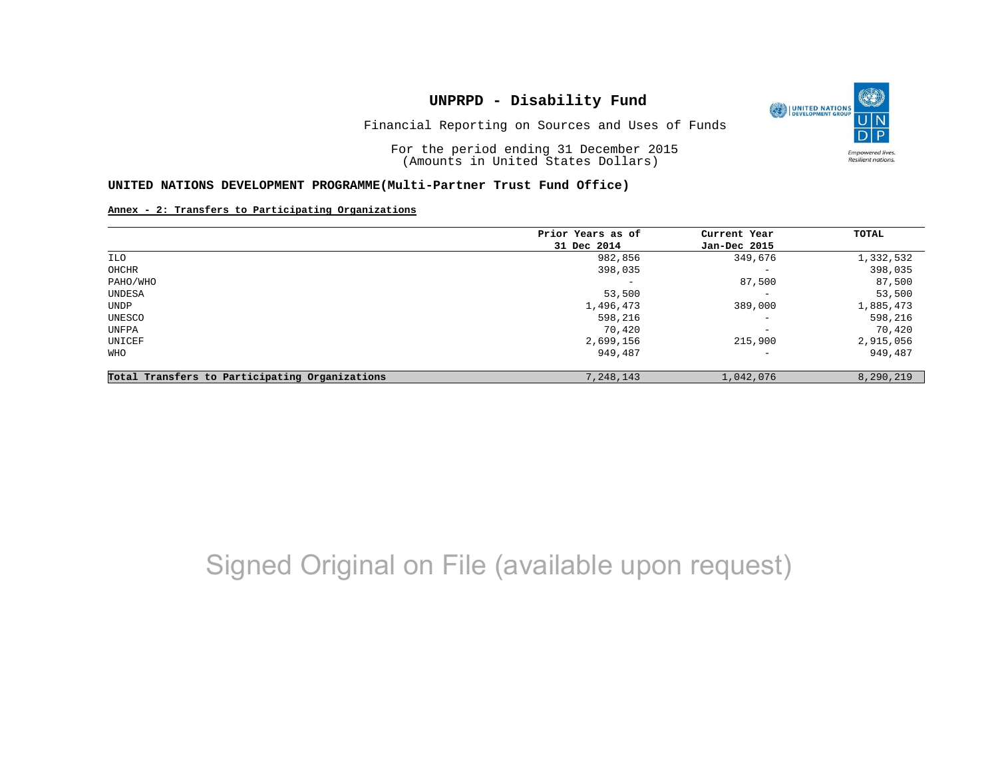

Financial Reporting on Sources and Uses of Funds

For the period ending 31 December 2015 (Amounts in United States Dollars)

#### **UNITED NATIONS DEVELOPMENT PROGRAMME(Multi-Partner Trust Fund Office)**

#### **Annex - 2: Transfers to Participating Organizations**

|                                                   | Prior Years as of | Current Year             | TOTAL     |
|---------------------------------------------------|-------------------|--------------------------|-----------|
|                                                   | 31 Dec 2014       | Jan-Dec 2015             |           |
| ILO                                               | 982,856           | 349,676                  | 1,332,532 |
| OHCHR                                             | 398,035           | $\overline{\phantom{m}}$ | 398,035   |
| PAHO/WHO                                          |                   | 87,500                   | 87,500    |
| UNDESA                                            | 53,500            | $\overline{\phantom{0}}$ | 53,500    |
| UNDP                                              | 1,496,473         | 389,000                  | 1,885,473 |
| UNESCO                                            | 598,216           | $\qquad \qquad -$        | 598,216   |
| UNFPA                                             | 70,420            | $\qquad \qquad -$        | 70,420    |
| UNICEF                                            | 2,699,156         | 215,900                  | 2,915,056 |
| WHO                                               | 949,487           | $\qquad \qquad -$        | 949,487   |
| Participating Organizations<br>Total Transfers to | 7,248,143         | 1,042,076                | 8,290,219 |

## Signed Original on File (available upon request)